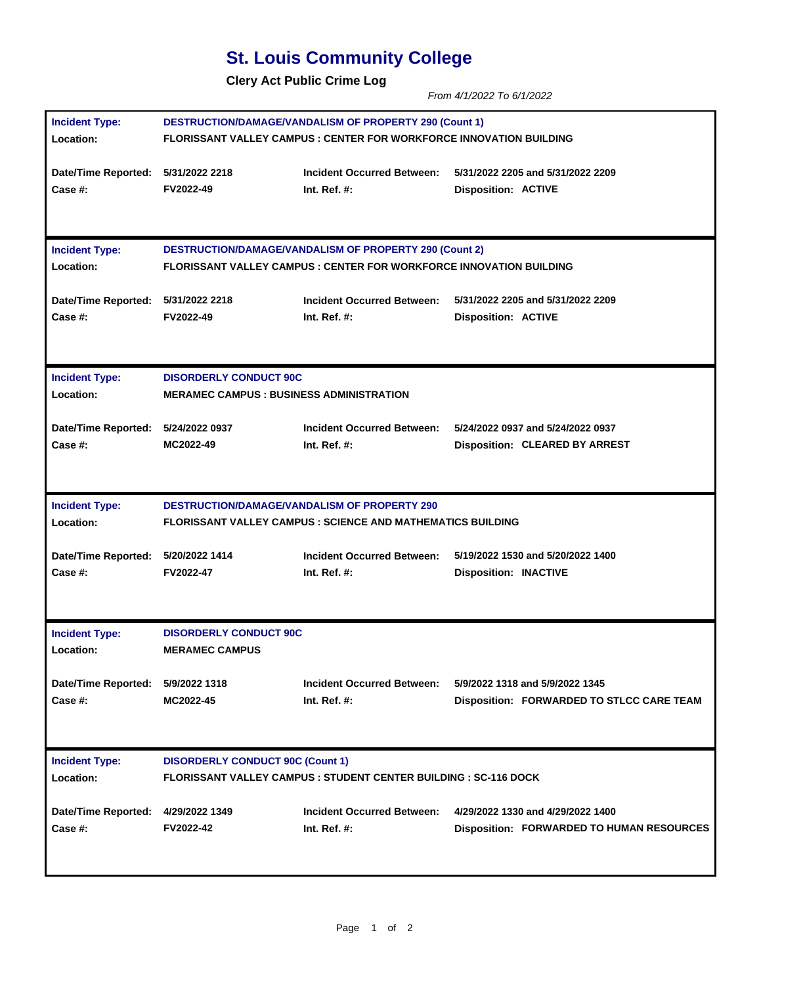## **St. Louis Community College**

**Clery Act Public Crime Log** 

*From 4/1/2022 To 6/1/2022* 

| <b>Incident Type:</b>              | <b>DESTRUCTION/DAMAGE/VANDALISM OF PROPERTY 290 (Count 1)</b>              |                                   |                                                  |  |
|------------------------------------|----------------------------------------------------------------------------|-----------------------------------|--------------------------------------------------|--|
| <b>Location:</b>                   | FLORISSANT VALLEY CAMPUS : CENTER FOR WORKFORCE INNOVATION BUILDING        |                                   |                                                  |  |
| Date/Time Reported: 5/31/2022 2218 | <b>FV2022-49</b>                                                           | <b>Incident Occurred Between:</b> | 5/31/2022 2205 and 5/31/2022 2209                |  |
| <b>Case #:</b>                     |                                                                            | Int. Ref. $#$ :                   | <b>Disposition: ACTIVE</b>                       |  |
| <b>Incident Type:</b>              | <b>DESTRUCTION/DAMAGE/VANDALISM OF PROPERTY 290 (Count 2)</b>              |                                   |                                                  |  |
| Location:                          | <b>FLORISSANT VALLEY CAMPUS : CENTER FOR WORKFORCE INNOVATION BUILDING</b> |                                   |                                                  |  |
| Date/Time Reported: 5/31/2022 2218 | FV2022-49                                                                  | <b>Incident Occurred Between:</b> | 5/31/2022 2205 and 5/31/2022 2209                |  |
| Case #:                            |                                                                            | Int. Ref. $#$ :                   | <b>Disposition: ACTIVE</b>                       |  |
| <b>Incident Type:</b>              | <b>DISORDERLY CONDUCT 90C</b>                                              |                                   |                                                  |  |
| <b>Location:</b>                   | <b>MERAMEC CAMPUS : BUSINESS ADMINISTRATION</b>                            |                                   |                                                  |  |
| Date/Time Reported: 5/24/2022 0937 | MC2022-49                                                                  | <b>Incident Occurred Between:</b> | 5/24/2022 0937 and 5/24/2022 0937                |  |
| Case #:                            |                                                                            | Int. Ref. $#$ :                   | <b>Disposition: CLEARED BY ARREST</b>            |  |
| <b>Incident Type:</b>              | <b>DESTRUCTION/DAMAGE/VANDALISM OF PROPERTY 290</b>                        |                                   |                                                  |  |
| Location:                          | <b>FLORISSANT VALLEY CAMPUS : SCIENCE AND MATHEMATICS BUILDING</b>         |                                   |                                                  |  |
| Date/Time Reported: 5/20/2022 1414 | FV2022-47                                                                  | <b>Incident Occurred Between:</b> | 5/19/2022 1530 and 5/20/2022 1400                |  |
| Case #:                            |                                                                            | Int. Ref. $#$ :                   | <b>Disposition: INACTIVE</b>                     |  |
| <b>Incident Type:</b>              | <b>DISORDERLY CONDUCT 90C</b>                                              |                                   |                                                  |  |
| <b>Location:</b>                   | <b>MERAMEC CAMPUS</b>                                                      |                                   |                                                  |  |
| Date/Time Reported: 5/9/2022 1318  | MC2022-45                                                                  | Incident Occurred Between:        | 5/9/2022 1318 and 5/9/2022 1345                  |  |
| <b>Case #:</b>                     |                                                                            | Int. Ref. $#$ :                   | Disposition: FORWARDED TO STLCC CARE TEAM        |  |
| <b>Incident Type:</b>              | <b>DISORDERLY CONDUCT 90C (Count 1)</b>                                    |                                   |                                                  |  |
| Location:                          | <b>FLORISSANT VALLEY CAMPUS : STUDENT CENTER BUILDING : SC-116 DOCK</b>    |                                   |                                                  |  |
| <b>Date/Time Reported:</b>         | 4/29/2022 1349                                                             | <b>Incident Occurred Between:</b> | 4/29/2022 1330 and 4/29/2022 1400                |  |
| Case #:                            | FV2022-42                                                                  | Int. Ref. $#$ :                   | <b>Disposition: FORWARDED TO HUMAN RESOURCES</b> |  |